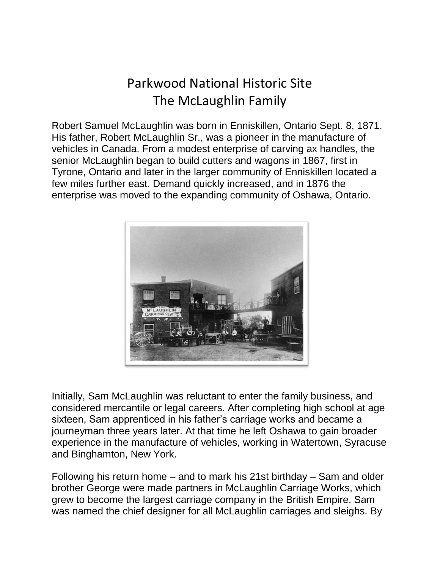## Parkwood National Historic Site The McLaughlin Family

Robert Samuel McLaughlin was born in Enniskillen, Ontario Sept. 8, 1871. His father, Robert McLaughlin Sr., was a pioneer in the manufacture of vehicles in Canada. From a modest enterprise of carving ax handles, the senior McLaughlin began to build cutters and wagons in 1867, first in Tyrone, Ontario and later in the larger community of Enniskillen located a few miles further east. Demand quickly increased, and in 1876 the enterprise was moved to the expanding community of Oshawa, Ontario.



Initially, Sam McLaughlin was reluctant to enter the family business, and considered mercantile or legal careers. After completing high school at age sixteen, Sam apprenticed in his father's carriage works and became a journeyman three years later. At that time he left Oshawa to gain broader experience in the manufacture of vehicles, working in Watertown, Syracuse and Binghamton, New York.

Following his return home – and to mark his 21st birthday – Sam and older brother George were made partners in McLaughlin Carriage Works, which grew to become the largest carriage company in the British Empire. Sam was named the chief designer for all McLaughlin carriages and sleighs. By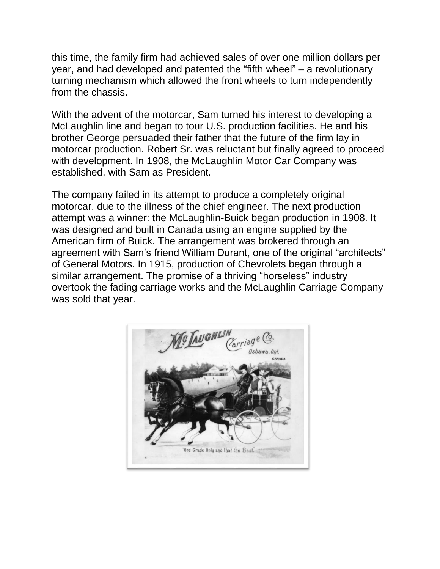this time, the family firm had achieved sales of over one million dollars per year, and had developed and patented the "fifth wheel" – a revolutionary turning mechanism which allowed the front wheels to turn independently from the chassis.

With the advent of the motorcar, Sam turned his interest to developing a McLaughlin line and began to tour U.S. production facilities. He and his brother George persuaded their father that the future of the firm lay in motorcar production. Robert Sr. was reluctant but finally agreed to proceed with development. In 1908, the McLaughlin Motor Car Company was established, with Sam as President.

The company failed in its attempt to produce a completely original motorcar, due to the illness of the chief engineer. The next production attempt was a winner: the McLaughlin-Buick began production in 1908. It was designed and built in Canada using an engine supplied by the American firm of Buick. The arrangement was brokered through an agreement with Sam's friend William Durant, one of the original "architects" of General Motors. In 1915, production of Chevrolets began through a similar arrangement. The promise of a thriving "horseless" industry overtook the fading carriage works and the McLaughlin Carriage Company was sold that year.